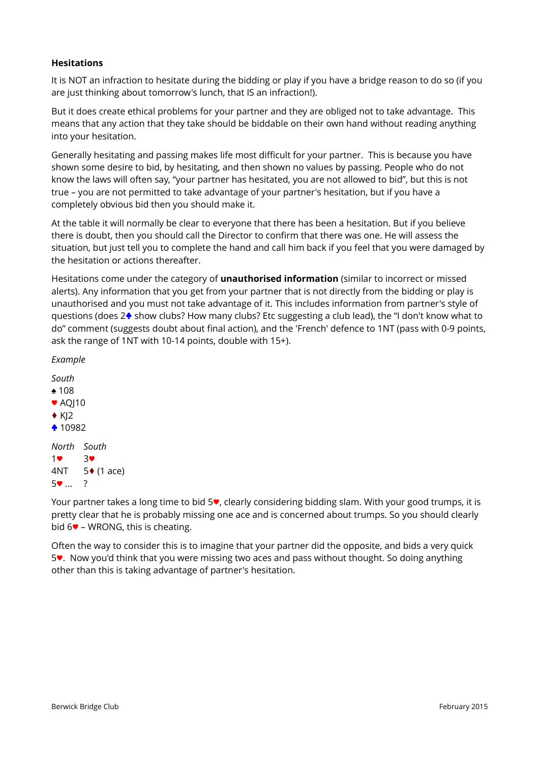## **Hesitations**

It is NOT an infraction to hesitate during the bidding or play if you have a bridge reason to do so (if you are just thinking about tomorrow's lunch, that IS an infraction!).

But it does create ethical problems for your partner and they are obliged not to take advantage. This means that any action that they take should be biddable on their own hand without reading anything into your hesitation.

Generally hesitating and passing makes life most difficult for your partner. This is because you have shown some desire to bid, by hesitating, and then shown no values by passing. People who do not know the laws will often say, "your partner has hesitated, you are not allowed to bid", but this is not true – you are not permitted to take advantage of your partner's hesitation, but if you have a completely obvious bid then you should make it.

At the table it will normally be clear to everyone that there has been a hesitation. But if you believe there is doubt, then you should call the Director to confirm that there was one. He will assess the situation, but just tell you to complete the hand and call him back if you feel that you were damaged by the hesitation or actions thereafter.

Hesitations come under the category of **unauthorised information** (similar to incorrect or missed alerts). Any information that you get from your partner that is not directly from the bidding or play is unauthorised and you must not take advantage of it. This includes information from partner's style of questions (does 2♣ show clubs? How many clubs? Etc suggesting a club lead), the "I don't know what to do" comment (suggests doubt about final action), and the 'French' defence to 1NT (pass with 0-9 points, ask the range of 1NT with 10-14 points, double with 15+).

*Example*

*South ♠* 108 ● AQ|10  $\blacklozenge$  K|2 ♣ 10982 *North South* 1♥ 3♥ 4NT 5♦ (1 ace)

5♥ ... ?

Your partner takes a long time to bid 5♥, clearly considering bidding slam. With your good trumps, it is pretty clear that he is probably missing one ace and is concerned about trumps. So you should clearly bid  $6\blacktriangledown$  – WRONG, this is cheating.

Often the way to consider this is to imagine that your partner did the opposite, and bids a very quick 5♥. Now you'd think that you were missing two aces and pass without thought. So doing anything other than this is taking advantage of partner's hesitation.